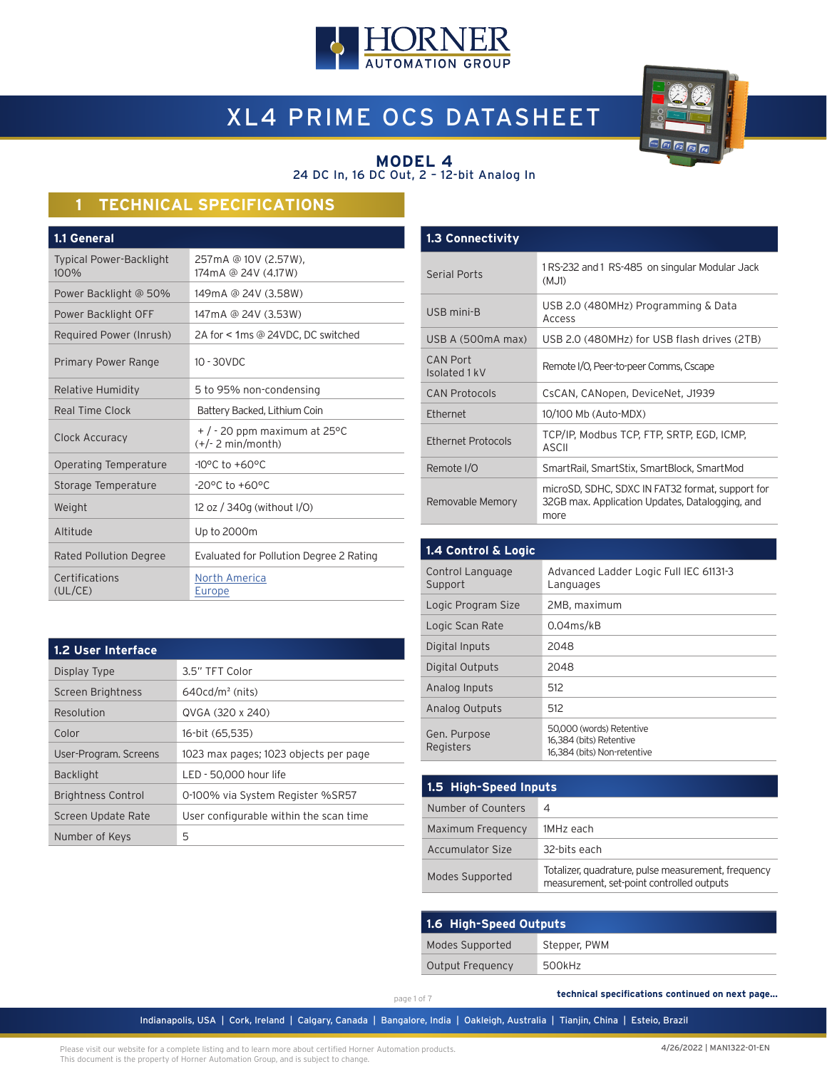

# XL4 PRIME OCS DATASHEET



#### **MODEL 4** 24 DC In, 16 DC Out, 2 – 12-bit Analog In

# **1 TECHNICAL SPECIFICATIONS**

| 257mA @ 10V (2.57W),<br>174mA @ 24V (4.17W)            |
|--------------------------------------------------------|
| 149mA @ 24V (3.58W)                                    |
| 147mA @ 24V (3.53W)                                    |
| 2A for < 1ms @ 24VDC, DC switched                      |
| $10 - 30$ VDC                                          |
| 5 to 95% non-condensing                                |
| Battery Backed, Lithium Coin                           |
| $+$ / - 20 ppm maximum at 25 °C<br>$(+/- 2 min/month)$ |
| $-10^{\circ}$ C to $+60^{\circ}$ C                     |
| $-20^{\circ}$ C to $+60^{\circ}$ C                     |
| 12 oz / 340g (without I/O)                             |
| Up to 2000m                                            |
| Evaluated for Pollution Degree 2 Rating                |
| North America<br>Europe                                |
|                                                        |

| <b>1.3 Connectivity</b>          |                                                                                                             |
|----------------------------------|-------------------------------------------------------------------------------------------------------------|
| Serial Ports                     | 1 RS-232 and 1 RS-485 on singular Modular Jack<br>(MJ1)                                                     |
| USB mini-B                       | USB 2.0 (480MHz) Programming & Data<br>Access                                                               |
| USB A (500mA max)                | USB 2.0 (480MHz) for USB flash drives (2TB)                                                                 |
| <b>CAN Port</b><br>Isolated 1 kV | Remote I/O, Peer-to-peer Comms, Cscape                                                                      |
| <b>CAN Protocols</b>             | CsCAN, CANopen, DeviceNet, J1939                                                                            |
| <b>Fthernet</b>                  | 10/100 Mb (Auto-MDX)                                                                                        |
| Ethernet Protocols               | TCP/IP, Modbus TCP, FTP, SRTP, EGD, ICMP,<br>ASCII                                                          |
| Remote I/O                       | SmartRail, SmartStix, SmartBlock, SmartMod                                                                  |
| Removable Memory                 | microSD, SDHC, SDXC IN FAT32 format, support for<br>32GB max. Application Updates, Datalogging, and<br>more |

| 1.4 Control & Logic         |                                                                                    |
|-----------------------------|------------------------------------------------------------------------------------|
| Control Language<br>Support | Advanced Ladder Logic Full IEC 61131-3<br>Languages                                |
| Logic Program Size          | 2MB, maximum                                                                       |
| Logic Scan Rate             | $0.04$ ms/kB                                                                       |
| Digital Inputs              | 2048                                                                               |
| Digital Outputs             | 2048                                                                               |
| Analog Inputs               | 512                                                                                |
| Analog Outputs              | 512                                                                                |
| Gen. Purpose<br>Registers   | 50,000 (words) Retentive<br>16,384 (bits) Retentive<br>16,384 (bits) Non-retentive |

| 1.5 High-Speed Inputs |                                                                                                  |  |  |
|-----------------------|--------------------------------------------------------------------------------------------------|--|--|
| Number of Counters    | 4                                                                                                |  |  |
| Maximum Frequency     | 1MHz each                                                                                        |  |  |
| Accumulator Size      | 32-bits each                                                                                     |  |  |
| Modes Supported       | Totalizer, quadrature, pulse measurement, frequency<br>measurement, set-point controlled outputs |  |  |

| 1.6 High-Speed Outputs |              |  |  |  |
|------------------------|--------------|--|--|--|
| Modes Supported        | Stepper, PWM |  |  |  |
| Output Frequency       | 500kHz       |  |  |  |

| 1.2 User Interface        |                                        |  |  |  |
|---------------------------|----------------------------------------|--|--|--|
| Display Type              | 3.5" TFT Color                         |  |  |  |
| Screen Brightness         | $640cd/m2$ (nits)                      |  |  |  |
| Resolution                | QVGA (320 x 240)                       |  |  |  |
| Color                     | 16-bit (65,535)                        |  |  |  |
| User-Program. Screens     | 1023 max pages; 1023 objects per page  |  |  |  |
| <b>Backlight</b>          | LED - 50,000 hour life                 |  |  |  |
| <b>Brightness Control</b> | 0-100% via System Register %SR57       |  |  |  |
| Screen Update Rate        | User configurable within the scan time |  |  |  |
| Number of Keys            | 5                                      |  |  |  |

page 1 of 7

 **technical specifications continued on next page...**

Indianapolis, USA | Cork, Ireland | Calgary, Canada | Bangalore, India | Oakleigh, Australia | Tianjin, China | Esteio, Brazil

Please visit our website for a complete listing and to learn more about certified Horner Automation products. This document is the property of Horner Automation Group, and is subject to change.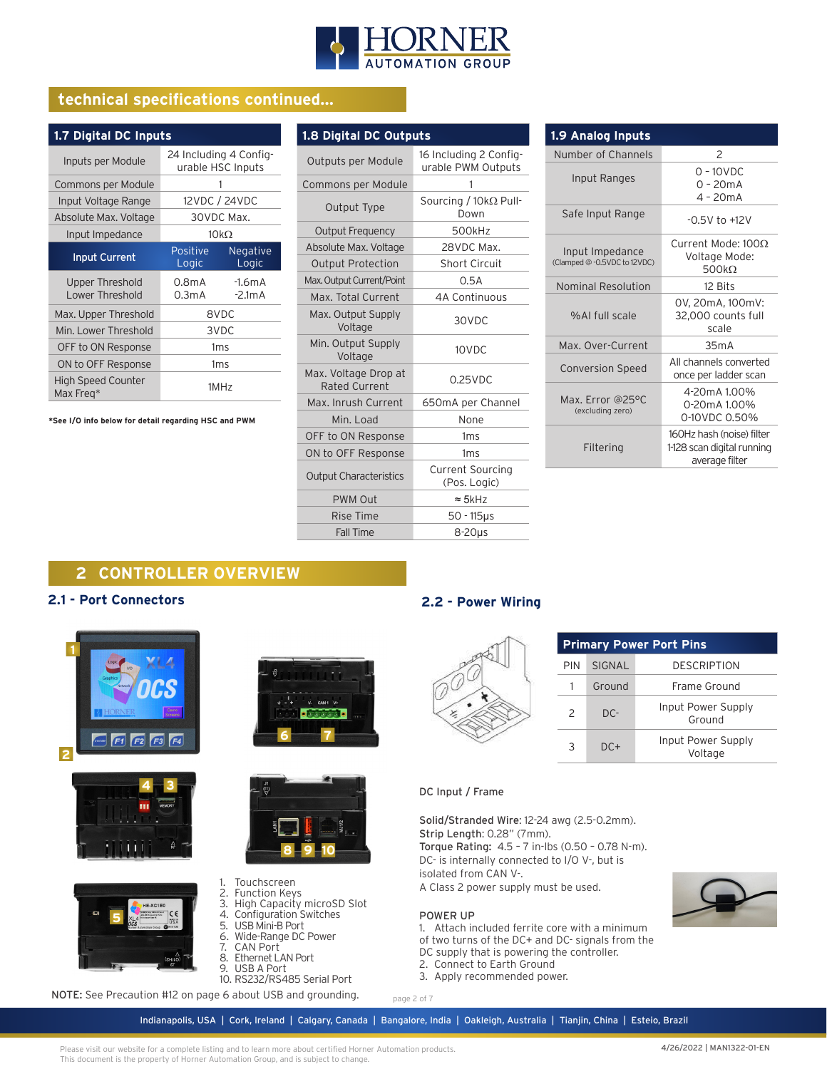

# **technical specifications continued...**

| 1.7 Digital DC Inputs                     |                                             |                          |  |  |
|-------------------------------------------|---------------------------------------------|--------------------------|--|--|
| Inputs per Module                         | 24 Including 4 Config-<br>urable HSC Inputs |                          |  |  |
| Commons per Module                        |                                             |                          |  |  |
| Input Voltage Range                       |                                             | 12VDC / 24VDC            |  |  |
| Absolute Max. Voltage                     | 30VDC Max.                                  |                          |  |  |
| Input Impedance                           | $10k\Omega$                                 |                          |  |  |
| <b>Input Current</b>                      | Positive<br>Logic                           | <b>Negative</b><br>Logic |  |  |
| <b>Upper Threshold</b><br>Lower Threshold | 0.8mA<br>0.3mA                              | $-1.6mA$<br>$-2.1mA$     |  |  |
| Max. Upper Threshold                      |                                             | 8VDC                     |  |  |
| Min. Lower Threshold                      | 3VDC                                        |                          |  |  |
| OFF to ON Response                        |                                             | 1ms                      |  |  |
| ON to OFF Response                        | 1 <sub>ms</sub>                             |                          |  |  |
| <b>High Speed Counter</b><br>Max Freg*    |                                             | 1MHz                     |  |  |

**\*See I/O info below for detail regarding HSC and PWM**

| 1.8 Digital DC Outputs                       |                                              |  |  |  |
|----------------------------------------------|----------------------------------------------|--|--|--|
| Outputs per Module                           | 16 Including 2 Config-<br>urable PWM Outputs |  |  |  |
| Commons per Module                           | 1                                            |  |  |  |
| Output Type                                  | Sourcing / 10kΩ Pull-<br>Down                |  |  |  |
| <b>Output Frequency</b>                      | 500kHz                                       |  |  |  |
| Absolute Max. Voltage                        | 28VDC Max.                                   |  |  |  |
| <b>Output Protection</b>                     | <b>Short Circuit</b>                         |  |  |  |
| Max. Output Current/Point                    | 0.5A                                         |  |  |  |
| Max. Total Current                           | 4A Continuous                                |  |  |  |
| Max. Output Supply<br>Voltage                | 30VDC                                        |  |  |  |
| Min. Output Supply<br>Voltage                | 10VDC                                        |  |  |  |
| Max. Voltage Drop at<br><b>Rated Current</b> | $0.25$ VDC                                   |  |  |  |
| Max. Inrush Current                          | 650mA per Channel                            |  |  |  |
| Min. Load                                    | None                                         |  |  |  |
| OFF to ON Response                           | 1 <sub>ms</sub>                              |  |  |  |
| ON to OFF Response                           | 1ms                                          |  |  |  |
| <b>Output Characteristics</b>                | <b>Current Sourcing</b><br>(Pos. Logic)      |  |  |  |
| <b>PWM Out</b>                               | $\approx$ 5kHz                               |  |  |  |
| Rise Time                                    | $50 - 115$ us                                |  |  |  |
| <b>Fall Time</b>                             | 8-20us                                       |  |  |  |

| 1.9 Analog Inputs                               |                                                                           |  |  |  |
|-------------------------------------------------|---------------------------------------------------------------------------|--|--|--|
| Number of Channels                              | $\mathcal{P}$                                                             |  |  |  |
| Input Ranges                                    | $0 - 10$ VDC<br>$0 - 20mA$<br>$4 - 20mA$                                  |  |  |  |
| Safe Input Range                                | $-0.5V$ to $+12V$                                                         |  |  |  |
| Input Impedance<br>(Clamped @ -0.5VDC to 12VDC) | Current Mode: 1000<br>Voltage Mode:<br>500 $k\Omega$                      |  |  |  |
| Nominal Resolution                              | 12 Bits                                                                   |  |  |  |
| %Al full scale                                  | 0V, 20mA, 100mV:<br>32,000 counts full<br>scale                           |  |  |  |
| Max. Over-Current                               | 35mA                                                                      |  |  |  |
| <b>Conversion Speed</b>                         | All channels converted<br>once per ladder scan                            |  |  |  |
| Max. Error @25°C<br>(excluding zero)            | 4-20mA 1.00%<br>0-20mA 1.00%<br>0-10VDC 0.50%                             |  |  |  |
| Filtering                                       | 160Hz hash (noise) filter<br>1-128 scan digital running<br>average filter |  |  |  |

# **2 CONTROLLER OVERVIEW**

#### **2.1 - Port Connectors**





**5**

 $C \in$ 





#### 1. Touchscreen

- 2. Function Keys
- 3. High Capacity microSD Slot 4. Configuration Switches
- 5. USB Mini-B Port
- 6. Wide-Range DC Power
- 7. CAN Port
- 8. Ethernet LAN Port
- 9. USB A Port
- 10. RS232/RS485 Serial Port

NOTE: See Precaution #12 on page 6 about USB and grounding.

# **2.2 - Power Wiring**

|               |        | <b>Primary Power Port Pins</b> |
|---------------|--------|--------------------------------|
| PIN           | SIGNAL | <b>DESCRIPTION</b>             |
|               | Ground | Frame Ground                   |
| $\mathcal{P}$ | DC-    | Input Power Supp<br>Ground     |
|               | $DC+$  | Input Power Supp<br>Voltage    |

#### DC Input / Frame

Solid/Stranded Wire: 12-24 awg (2.5-0.2mm). Strip Length: 0.28" (7mm).

Torque Rating: 4.5 – 7 in-lbs (0.50 – 0.78 N-m). DC- is internally connected to I/O V-, but is isolated from CAN V-.

A Class 2 power supply must be used.

#### POWER UP

page 2 of 7

- 1. Attach included ferrite core with a minimum
- of two turns of the DC+ and DC- signals from the
- DC supply that is powering the controller.
- 2. Connect to Earth Ground
- 3. Apply recommended power.



Supply

Supply

Indianapolis, USA | Cork, Ireland | Calgary, Canada | Bangalore, India | Oakleigh, Australia | Tianjin, China | Esteio, Brazil

Please visit our website for a complete listing and to learn more about certified Horner Automation products. This document is the property of Horner Automation Group, and is subject to change.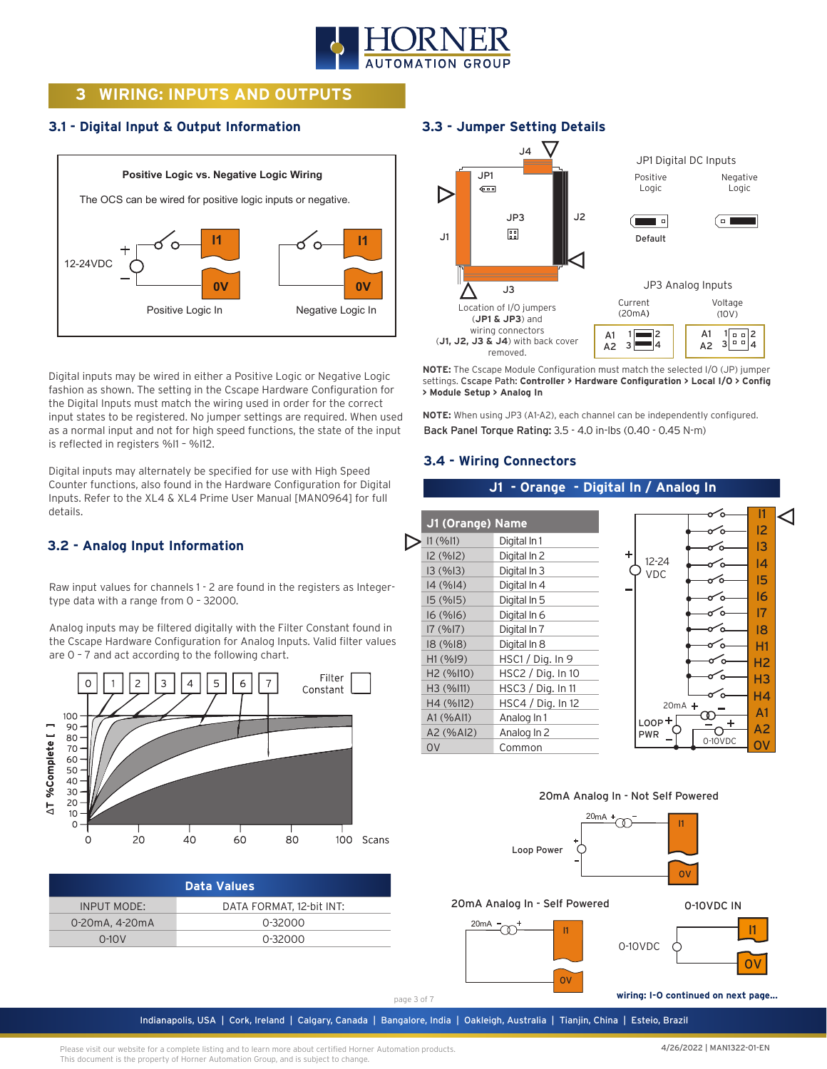

# **3 WIRING: INPUTS AND OUTPUTS**

# **3.1 - Digital Input & Output Information**



Digital inputs may be wired in either a Positive Logic or Negative Logic fashion as shown. The setting in the Cscape Hardware Configuration for the Digital Inputs must match the wiring used in order for the correct input states to be registered. No jumper settings are required. When used as a normal input and not for high speed functions, the state of the input is reflected in registers %I1 – %I12.

Digital inputs may alternately be specified for use with High Speed Counter functions, also found in the Hardware Configuration for Digital Inputs. Refer to the XL4 & XL4 Prime User Manual [MAN0964] for full details.

# **3.2 - Analog Input Information**

Raw input values for channels 1 - 2 are found in the registers as Integertype data with a range from 0 – 32000.

Analog inputs may be filtered digitally with the Filter Constant found in the Cscape Hardware Configuration for Analog Inputs. Valid filter values are 0 – 7 and act according to the following chart.



| <b>Data Values</b> |                          |  |  |
|--------------------|--------------------------|--|--|
| INPUT MODE:        | DATA FORMAT, 12-bit INT: |  |  |
| 0-20mA, 4-20mA     | 0-32000                  |  |  |
| $0-10V$            | $0 - 32000$              |  |  |

### **3.3 - Jumper Setting Details**



**NOTE:** The Cscape Module Configuration must match the selected I/O (JP) jumper settings. Cscape Path: **Controller > Hardware Configuration > Local I/O > Config > Module Setup > Analog In**

**NOTE:** When using JP3 (A1-A2), each channel can be independently configured. Back Panel Torque Rating: 3.5 - 4.0 in-lbs (0.40 - 0.45 N-m)

### **3.4 - Wiring Connectors**

#### **J1 - Orange - Digital In / Analog In**

| J1 (Orange) Name      |                   |            |                |  |
|-----------------------|-------------------|------------|----------------|--|
| 11 (9611)             | Digital In 1      |            | 12<br>13       |  |
| 12 (%12)              | Digital In 2      | $12 - 24$  |                |  |
| 13(%13)               | Digital In 3      | VDC        | 14             |  |
| 14(%14)               | Digital In 4      |            | 15             |  |
| 15(%15)               | Digital In 5      |            | 16             |  |
| 16(%16)               | Digital In 6      |            | 17             |  |
| 17(%17)               | Digital In 7      |            | 18             |  |
| 18(%18)               | Digital In 8      |            | H1             |  |
| H1(%19)               | HSC1 / Dig. In 9  |            | H <sub>2</sub> |  |
| H <sub>2</sub> (%110) | HSC2 / Dig. In 10 |            | H <sub>3</sub> |  |
| H3 (%111)             | HSC3 / Dig. In 11 |            | H4             |  |
| H4(%112)              | HSC4 / Dig. In 12 | $20mA +$   |                |  |
| A1 (% A11)            | Analog In 1       | $LOOP +$   | A <sub>1</sub> |  |
| A2 (%AI2)             | Analog In 2       | <b>PWR</b> | A <sub>2</sub> |  |
| O <sub>V</sub>        | Common            | 0-10VDC    |                |  |





#### 20mA Analog In - Self Powered



Indianapolis, USA | Cork, Ireland | Calgary, Canada | Bangalore, India | Oakleigh, Australia | Tianjin, China | Esteio, Brazil

0-10VDC IN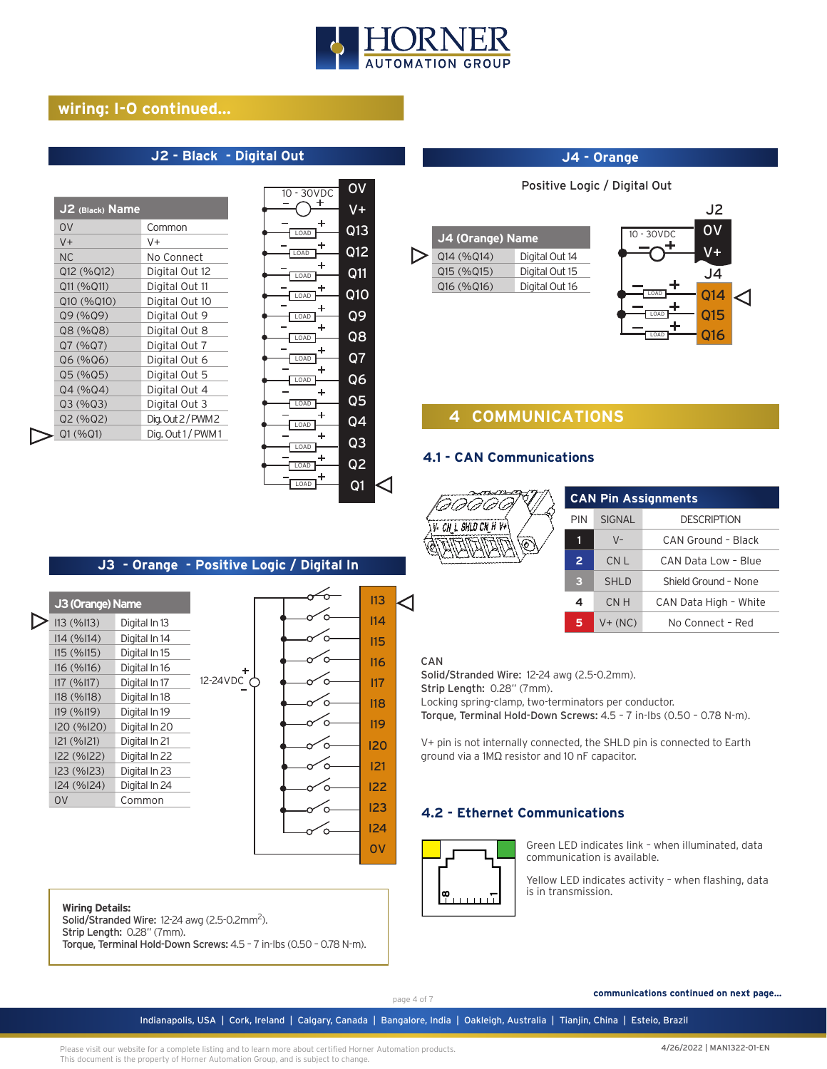

# **wiring: I-O continued...**

# **J2 - Black - Digital Out**

| J2 (Black) Name |                  |
|-----------------|------------------|
| 0 <sup>V</sup>  | Common           |
| $V +$           | V+               |
| <b>NC</b>       | No Connect       |
| Q12 (%Q12)      | Digital Out 12   |
| Q11 (%Q11)      | Digital Out 11   |
| Q10 (%Q10)      | Digital Out 10   |
| Q9 (%Q9)        | Digital Out 9    |
| Q8 (%Q8)        | Digital Out 8    |
| Q7 (%Q7)        | Digital Out 7    |
| Q6 (%Q6)        | Digital Out 6    |
| Q5 (%Q5)        | Digital Out 5    |
| Q4 (%Q4)        | Digital Out 4    |
| Q3 (%Q3)        | Digital Out 3    |
| Q2 (%Q2)        | Dig. Out 2/PWM 2 |
| Q1 (%Q1)        | Dig. Out 1/PWM1  |

| $10 - 30VDC$     | OV              |  |
|------------------|-----------------|--|
| ٠                | V+              |  |
| LOAD             | Q13             |  |
| ٠<br>LOAD        | Q12             |  |
| +<br>LOAD        | Q11             |  |
| LOAD             | Q1O             |  |
| LOAD             | Q9              |  |
| $\ddot{}$<br>0AD | Q8              |  |
| LOAD             | Q7              |  |
| ┿                |                 |  |
| LOAD<br>+        | Q6              |  |
| LOAD             | Q5              |  |
| LOAD             | Q4              |  |
| +<br>LOAD        | $\overline{Q3}$ |  |
|                  | Q <sub>2</sub>  |  |
| LOAD             |                 |  |
| LOAD             | Q1              |  |

#### **J4 - Orange**

Positive Logic / Digital Out





# **4 COMMUNICATIONS**

### **4.1 - CAN Communications**

**4.2 - Ethernet Communications**

Solid/Stranded Wire: 12-24 awg (2.5-0.2mm).

ground via a 1MΩ resistor and 10 nF capacitor.

Torque, Terminal Hold-Down Screws: 4.5 – 7 in-lbs (0.50 – 0.78 N-m). V+ pin is not internally connected, the SHLD pin is connected to Earth



Strip Length: 0.28" (7mm).

| <b>CAN Pin Assignments</b> |               |                       |  |
|----------------------------|---------------|-----------------------|--|
| PIN                        | <b>SIGNAL</b> | <b>DESCRIPTION</b>    |  |
| 1                          | $V -$         | CAN Ground - Black    |  |
| $\overline{2}$             | CN L          | CAN Data Low - Blue   |  |
| з                          | <b>SHLD</b>   | Shield Ground - None  |  |
| 4                          | CN H          | CAN Data High - White |  |
| 5                          | $V + (NC)$    | No Connect - Red      |  |

### **J3 - Orange - Positive Logic / Digital In**

| J3 (Orange) Name |               |          |  | 113        |
|------------------|---------------|----------|--|------------|
| 113 (%113)       | Digital In 13 |          |  | 114        |
| I14 (%I14)       | Digital In 14 |          |  | 115        |
| 115 (%115)       | Digital In 15 |          |  |            |
| 116 (%116)       | Digital In 16 | ٠        |  | 116        |
| 117 (%117)       | Digital In 17 | 12-24VDC |  | 117        |
| 118(%118)        | Digital In 18 |          |  | 118        |
| 119 (%119)       | Digital In 19 |          |  |            |
| I20 (%I20)       | Digital In 20 |          |  | <b>I19</b> |
| I21 (%I21)       | Digital In 21 |          |  | 12C        |
| 122 (%122)       | Digital In 22 |          |  |            |
| I23 (%I23)       | Digital In 23 |          |  | 121        |
| I24 (%I24)       | Digital In 24 |          |  | 122        |
| <b>OV</b>        | Common        |          |  | 123        |
|                  |               |          |  |            |
|                  |               |          |  | 124        |

# 8  $\overline{q}$  $\overline{O}$  $\mathbf{I}$ **2** Locking spring-clamp, two-terminators per conductor.

 $\overline{3}$ I24 0V

4 5 6

CAN

#### **Wiring Details:**

Solid/Stranded Wire: 12-24 awg (2.5-0.2mm<sup>2</sup>).

Strip Length: 0.28" (7mm).

Torque, Terminal Hold-Down Screws: 4.5 – 7 in-lbs (0.50 – 0.78 N-m).

Green LED indicates link – when illuminated, data communication is available.

Yellow LED indicates activity – when flashing, data is in transmission.

page 4 of 7

 $\frac{\infty}{1}$ 

٦.

 **communications continued on next page...**

Indianapolis, USA | Cork, Ireland | Calgary, Canada | Bangalore, India | Oakleigh, Australia | Tianjin, China | Esteio, Brazil

Please visit our website for a complete listing and to learn more about certified Horner Automation products. This document is the property of Horner Automation Group, and is subject to change.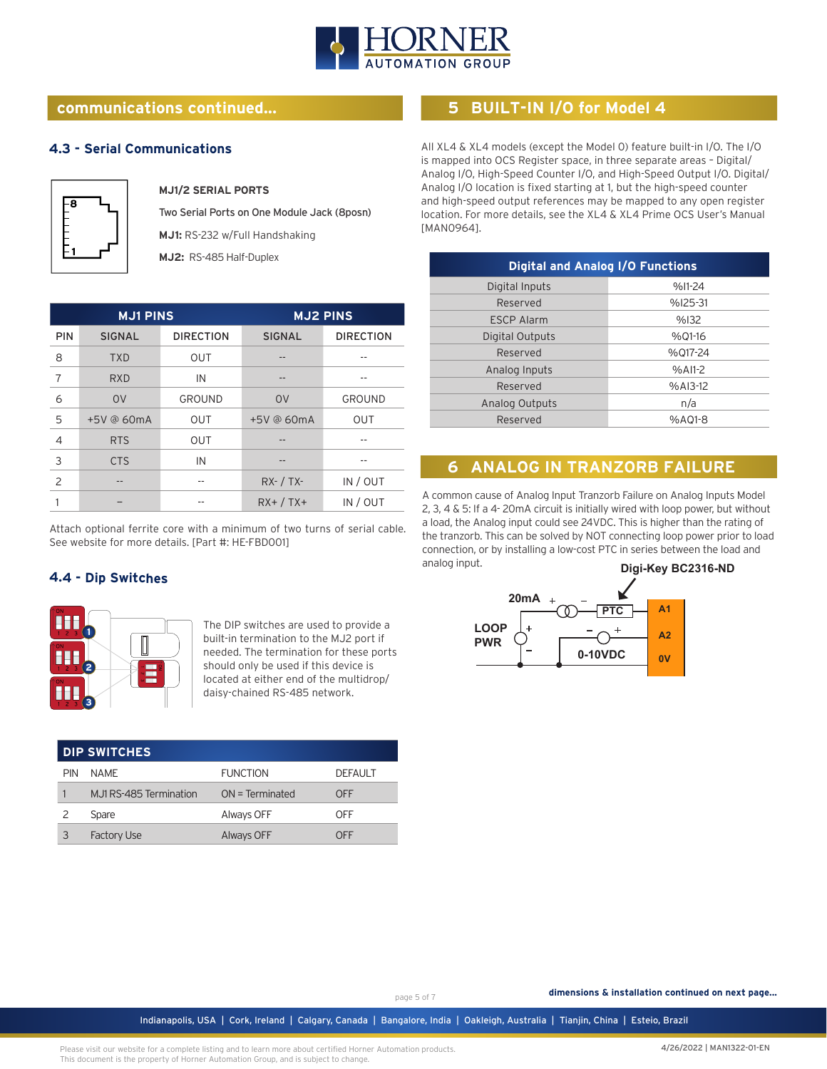

# **communications continued...**

#### **4.3 - Serial Communications**



#### **MJ1/2 SERIAL PORTS**

Two Serial Ports on One Module Jack (8posn) **MJ1:** RS-232 w/Full Handshaking **MJ2:** RS-485 Half-Duplex

| <b>MJ1 PINS</b> |               |                  | <b>MJ2 PINS</b> |                  |
|-----------------|---------------|------------------|-----------------|------------------|
| <b>PIN</b>      | <b>SIGNAL</b> | <b>DIRECTION</b> | <b>SIGNAL</b>   | <b>DIRECTION</b> |
| 8               | <b>TXD</b>    | <b>OUT</b>       |                 |                  |
| $\overline{7}$  | <b>RXD</b>    | IN               | --              |                  |
| 6               | <b>OV</b>     | GROUND           | <b>OV</b>       | <b>GROUND</b>    |
| 5               | +5V @ 60mA    | <b>OUT</b>       | +5V @ 60mA      | <b>OUT</b>       |
| $\overline{4}$  | <b>RTS</b>    | <b>OUT</b>       |                 |                  |
| 3               | <b>CTS</b>    | IN               |                 |                  |
| 2               | --            | --               | $RX - / TX -$   | IN / OUT         |
|                 |               |                  | $RX+ / TX+$     | IN / OUT         |

Attach optional ferrite core with a minimum of two turns of serial cable. See website for more details. [Part #: HE-FBD001]

### **4.4 - Dip Switches**



The DIP switches are used to provide a built-in termination to the MJ2 port if needed. The termination for these ports should only be used if this device is located at either end of the multidrop/ daisy-chained RS-485 network.

| <b>DIP SWITCHES</b> |                         |                   |                |
|---------------------|-------------------------|-------------------|----------------|
| PIN                 | <b>NAMF</b>             | <b>FUNCTION</b>   | <b>DEFAULT</b> |
|                     | M.J1 RS-485 Termination | $ON = Terminated$ | OFF            |
|                     | Spare                   | Always OFF        | OFF            |
|                     | <b>Factory Use</b>      | <b>Always OFF</b> | OFF            |

# **5 BUILT-IN I/O for Model 4**

All XL4 & XL4 models (except the Model 0) feature built-in I/O. The I/O is mapped into OCS Register space, in three separate areas – Digital/ Analog I/O, High-Speed Counter I/O, and High-Speed Output I/O. Digital/ Analog I/O location is fixed starting at 1, but the high-speed counter and high-speed output references may be mapped to any open register location. For more details, see the XL4 & XL4 Prime OCS User's Manual [MAN0964].

| <b>Digital and Analog I/O Functions</b> |           |  |  |
|-----------------------------------------|-----------|--|--|
| Digital Inputs                          | $%11-24$  |  |  |
| Reserved                                | $%125-31$ |  |  |
| <b>ESCP Alarm</b>                       | %132      |  |  |
| Digital Outputs                         | %01-16    |  |  |
| Reserved                                | %017-24   |  |  |
| Analog Inputs                           | $%A11-2$  |  |  |
| Reserved                                | $%A13-12$ |  |  |
| Analog Outputs                          | n/a       |  |  |
| Reserved                                | %A01-8    |  |  |

# **6 ANALOG IN TRANZORB FAILURE**

A common cause of Analog Input Tranzorb Failure on Analog Inputs Model 2, 3, 4 & 5: If a 4- 20mA circuit is initially wired with loop power, but without a load, the Analog input could see 24VDC. This is higher than the rating of the tranzorb. This can be solved by NOT connecting loop power prior to load connection, or by installing a low-cost PTC in series between the load and analog input.



page 5 of 7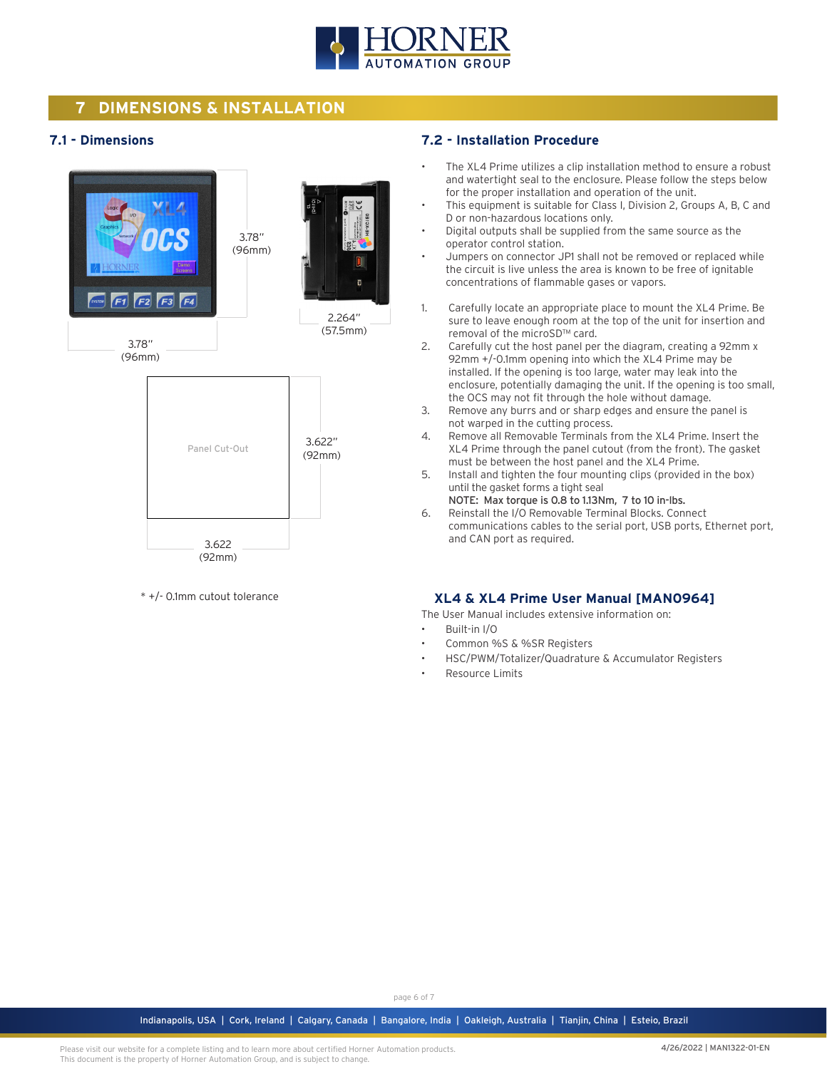

# **7 DIMENSIONS & INSTALLATION**

### **7.1 - Dimensions**



\* +/- 0.1mm cutout tolerance

#### **7.2 - Installation Procedure**

- The XL4 Prime utilizes a clip installation method to ensure a robust and watertight seal to the enclosure. Please follow the steps below for the proper installation and operation of the unit.
- This equipment is suitable for Class I, Division 2, Groups A, B, C and D or non-hazardous locations only.
- Digital outputs shall be supplied from the same source as the operator control station.
- Jumpers on connector JP1 shall not be removed or replaced while the circuit is live unless the area is known to be free of ignitable concentrations of flammable gases or vapors.
- 1. Carefully locate an appropriate place to mount the XL4 Prime. Be sure to leave enough room at the top of the unit for insertion and removal of the microSD™ card.
- 2. Carefully cut the host panel per the diagram, creating a 92mm x 92mm +/-0.1mm opening into which the XL4 Prime may be installed. If the opening is too large, water may leak into the enclosure, potentially damaging the unit. If the opening is too small, the OCS may not fit through the hole without damage.
- 3. Remove any burrs and or sharp edges and ensure the panel is not warped in the cutting process.
- 4. Remove all Removable Terminals from the XL4 Prime. Insert the XL4 Prime through the panel cutout (from the front). The gasket must be between the host panel and the XL4 Prime.
- 5. Install and tighten the four mounting clips (provided in the box) until the gasket forms a tight seal
- NOTE: Max torque is 0.8 to 1.13Nm, 7 to 10 in-lbs. 6. Reinstall the I/O Removable Terminal Blocks. Connect communications cables to the serial port, USB ports, Ethernet port, and CAN port as required.

### **XL4 & XL4 Prime User Manual [MAN0964]**

The User Manual includes extensive information on:

- Built-in I/O
- Common %S & %SR Registers
- HSC/PWM/Totalizer/Quadrature & Accumulator Registers
- Resource Limits